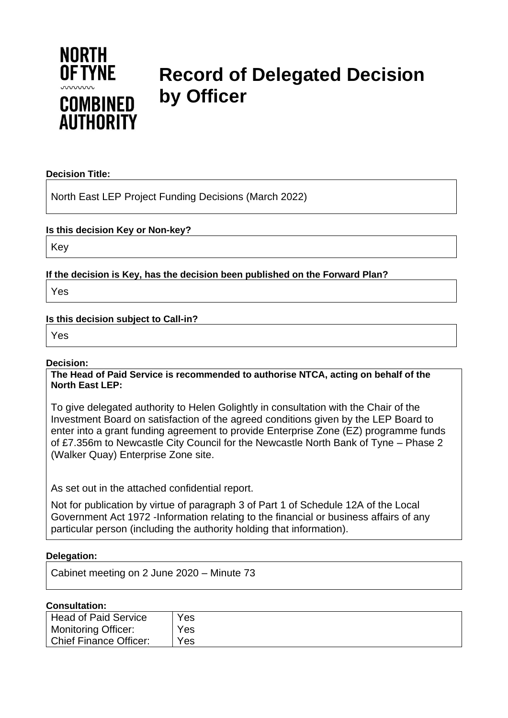

# **Record of Delegated Decision by Officer**

### **Decision Title:**

North East LEP Project Funding Decisions (March 2022)

### **Is this decision Key or Non-key?**

Key

**If the decision is Key, has the decision been published on the Forward Plan?**

Yes

## **Is this decision subject to Call-in?**

Yes

### **Decision:**

**The Head of Paid Service is recommended to authorise NTCA, acting on behalf of the North East LEP:**

To give delegated authority to Helen Golightly in consultation with the Chair of the Investment Board on satisfaction of the agreed conditions given by the LEP Board to enter into a grant funding agreement to provide Enterprise Zone (EZ) programme funds of £7.356m to Newcastle City Council for the Newcastle North Bank of Tyne – Phase 2 (Walker Quay) Enterprise Zone site.

As set out in the attached confidential report.

Not for publication by virtue of paragraph 3 of Part 1 of Schedule 12A of the Local Government Act 1972 -Information relating to the financial or business affairs of any particular person (including the authority holding that information).

## **Delegation:**

Cabinet meeting on 2 June 2020 – Minute 73

#### **Consultation:**

| Head of Paid Service   | Yes |
|------------------------|-----|
| Monitoring Officer:    | Yes |
| Chief Finance Officer: | Yes |